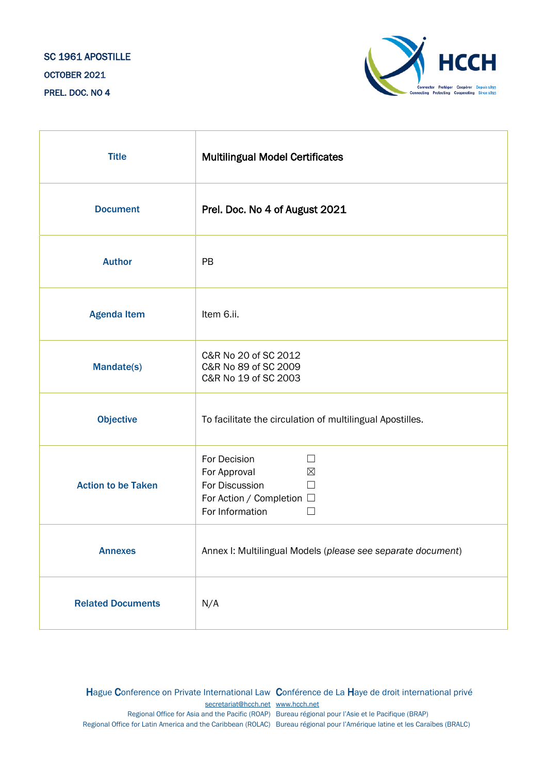## SC 1961 APOSTILLE OCTOBER 2021 PREL. DOC. NO 4



| <b>Title</b>              | <b>Multilingual Model Certificates</b>                                                                                             |
|---------------------------|------------------------------------------------------------------------------------------------------------------------------------|
| <b>Document</b>           | Prel. Doc. No 4 of August 2021                                                                                                     |
| <b>Author</b>             | PB                                                                                                                                 |
| <b>Agenda Item</b>        | Item 6.ii.                                                                                                                         |
| <b>Mandate(s)</b>         | C&R No 20 of SC 2012<br>C&R No 89 of SC 2009<br>C&R No 19 of SC 2003                                                               |
| <b>Objective</b>          | To facilitate the circulation of multilingual Apostilles.                                                                          |
| <b>Action to be Taken</b> | For Decision<br>$\perp$<br>For Approval<br>$\boxtimes$<br>For Discussion<br>□<br>For Action / Completion □<br>For Information<br>П |
| <b>Annexes</b>            | Annex I: Multilingual Models (please see separate document)                                                                        |
| <b>Related Documents</b>  | N/A                                                                                                                                |

Hague Conference on Private International Law Conférence de La Haye de droit international privé [secretariat@hcch.net](mailto:secretariat@hcch.net) [www.hcch.net](http://www.hcch.net/) Regional Office for Asia and the Pacific (ROAP) Bureau régional pour l'Asie et le Pacifique (BRAP) Regional Office for Latin America and the Caribbean (ROLAC) Bureau régional pour l'Amérique latine et les Caraïbes (BRALC)